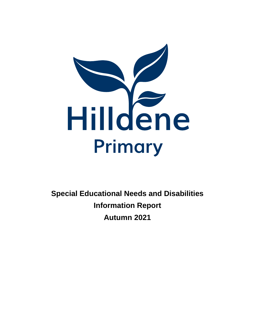

**Special Educational Needs and Disabilities Information Report Autumn 2021**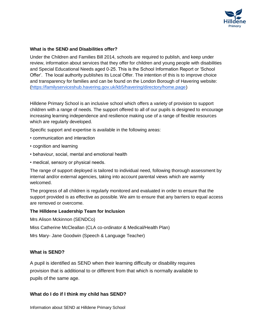

#### **What is the SEND and Disabilities offer?**

Under the Children and Families Bill 2014, schools are required to publish, and keep under review, information about services that they offer for children and young people with disabilities and Special Educational Needs aged 0-25. This is the School Information Report or 'School Offer'. The local authority publishes its Local Offer. The intention of this is to improve choice and transparency for families and can be found on the London Borough of Havering website: [\(https://familyserviceshub.havering.gov.uk/kb5/havering/directory/home.page\)](https://familyserviceshub.havering.gov.uk/kb5/havering/directory/home.page)

Hilldene Primary School is an inclusive school which offers a variety of provision to support children with a range of needs. The support offered to all of our pupils is designed to encourage increasing learning independence and resilience making use of a range of flexible resources which are regularly developed.

Specific support and expertise is available in the following areas:

- communication and interaction
- cognition and learning
- behaviour, social, mental and emotional health
- medical, sensory or physical needs.

The range of support deployed is tailored to individual need, following thorough assessment by internal and/or external agencies, taking into account parental views which are warmly welcomed.

The progress of all children is regularly monitored and evaluated in order to ensure that the support provided is as effective as possible. We aim to ensure that any barriers to equal access are removed or overcome.

#### **The Hilldene Leadership Team for Inclusion**

Mrs Alison Mckinnon (SENDCo)

Miss Catherine McCleallan (CLA co-ordinator & Medical/Health Plan)

Mrs Mary- Jane Goodwin (Speech & Language Teacher)

#### **What is SEND?**

A pupil is identified as SEND when their learning difficulty or disability requires provision that is additional to or different from that which is normally available to pupils of the same age.

## **What do I do if I think my child has SEND?**

Information about SEND at Hilldene Primary School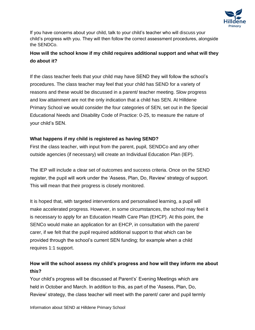

If you have concerns about your child, talk to your child's teacher who will discuss your child's progress with you. They will then follow the correct assessment procedures, alongside the SENDCo.

# **How will the school know if my child requires additional support and what will they do about it?**

If the class teacher feels that your child may have SEND they will follow the school's procedures. The class teacher may feel that your child has SEND for a variety of reasons and these would be discussed in a parent/ teacher meeting. Slow progress and low attainment are not the only indication that a child has SEN. At Hilldene Primary School we would consider the four categories of SEN, set out in the Special Educational Needs and Disability Code of Practice: 0-25, to measure the nature of your child's SEN.

## **What happens if my child is registered as having SEND?**

First the class teacher, with input from the parent, pupil, SENDCo and any other outside agencies (if necessary) will create an Individual Education Plan (IEP).

The IEP will include a clear set of outcomes and success criteria. Once on the SEND register, the pupil will work under the 'Assess, Plan, Do, Review' strategy of support. This will mean that their progress is closely monitored.

It is hoped that, with targeted interventions and personalised learning, a pupil will make accelerated progress. However, in some circumstances, the school may feel it is necessary to apply for an Education Health Care Plan (EHCP). At this point, the SENCo would make an application for an EHCP, in consultation with the parent/ carer, if we felt that the pupil required additional support to that which can be provided through the school's current SEN funding; for example when a child requires 1:1 support.

# **How will the school assess my child's progress and how will they inform me about this?**

Your child's progress will be discussed at Parent's' Evening Meetings which are held in October and March. In addition to this, as part of the 'Assess, Plan, Do, Review' strategy, the class teacher will meet with the parent/ carer and pupil termly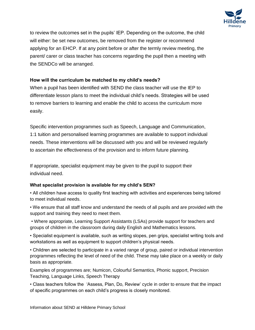

to review the outcomes set in the pupils' IEP. Depending on the outcome, the child will either: be set new outcomes, be removed from the register or recommend applying for an EHCP. If at any point before or after the termly review meeting, the parent/ carer or class teacher has concerns regarding the pupil then a meeting with the SENDCo will be arranged.

## **How will the curriculum be matched to my child's needs?**

When a pupil has been identified with SEND the class teacher will use the IEP to differentiate lesson plans to meet the individual child's needs. Strategies will be used to remove barriers to learning and enable the child to access the curriculum more easily.

Specific intervention programmes such as Speech, Language and Communication, 1:1 tuition and personalised learning programmes are available to support individual needs. These interventions will be discussed with you and will be reviewed regularly to ascertain the effectiveness of the provision and to inform future planning.

If appropriate, specialist equipment may be given to the pupil to support their individual need.

## **What specialist provision is available for my child's SEN?**

• All children have access to quality first teaching with activities and experiences being tailored to meet individual needs.

• We ensure that all staff know and understand the needs of all pupils and are provided with the support and training they need to meet them.

• Where appropriate, Learning Support Assistants (LSAs) provide support for teachers and groups of children in the classroom during daily English and Mathematics lessons.

• Specialist equipment is available, such as writing slopes, pen grips, specialist writing tools and workstations as well as equipment to support children's physical needs.

• Children are selected to participate in a varied range of group, paired or individual intervention programmes reflecting the level of need of the child. These may take place on a weekly or daily basis as appropriate.

Examples of programmes are; Numicon, Colourful Semantics, Phonic support, Precision Teaching, Language Links, Speech Therapy

• Class teachers follow the 'Assess, Plan, Do, Review' cycle in order to ensure that the impact of specific programmes on each child's progress is closely monitored.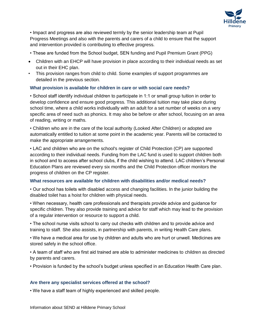

• Impact and progress are also reviewed termly by the senior leadership team at Pupil Progress Meetings and also with the parents and carers of a child to ensure that the support and intervention provided is contributing to effective progress.

- These are funded from the School budget, SEN funding and Pupil Premium Grant (PPG)
- Children with an EHCP will have provision in place according to their individual needs as set out in their EHC plan.
- This provision ranges from child to child. Some examples of support programmes are detailed in the previous section.

## **What provision is available for children in care or with social care needs?**

• School staff identify individual children to participate in 1:1 or small group tuition in order to develop confidence and ensure good progress. This additional tuition may take place during school time, where a child works individually with an adult for a set number of weeks on a very specific area of need such as phonics. It may also be before or after school, focusing on an area of reading, writing or maths.

• Children who are in the care of the local authority (Looked After Children) or adopted are automatically entitled to tuition at some point in the academic year. Parents will be contacted to make the appropriate arrangements.

• LAC and children who are on the school's register of Child Protection (CP) are supported according to their individual needs. Funding from the LAC fund is used to support children both in school and to access after school clubs, if the child wishing to attend. LAC children's Personal Education Plans are reviewed every six months and the Child Protection officer monitors the progress of children on the CP register.

## **What resources are available for children with disabilities and/or medical needs?**

• Our school has toilets with disabled access and changing facilities. In the junior building the disabled toilet has a hoist for children with physical needs.

• When necessary, health care professionals and therapists provide advice and guidance for specific children. They also provide training and advice for staff which may lead to the provision of a regular intervention or resource to support a child.

• The school nurse visits school to carry out checks with children and to provide advice and training to staff. She also assists, in partnership with parents, in writing Health Care plans.

• We have a medical area for use by children and adults who are hurt or unwell. Medicines are stored safely in the school office.

• A team of staff who are first aid trained are able to administer medicines to children as directed by parents and carers.

• Provision is funded by the school's budget unless specified in an Education Health Care plan.

## **Are there any specialist services offered at the school?**

• We have a staff team of highly experienced and skilled people.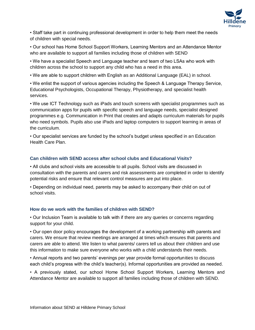

• Staff take part in continuing professional development in order to help them meet the needs of children with special needs.

• Our school has Home School Support Workers, Learning Mentors and an Attendance Mentor who are available to support all families including those of children with SEND

• We have a specialist Speech and Language teacher and team of two LSAs who work with children across the school to support any child who has a need in this area.

• We are able to support children with English as an Additional Language (EAL) in school.

• We enlist the support of various agencies including the Speech & Language Therapy Service, Educational Psychologists, Occupational Therapy, Physiotherapy, and specialist health services.

• We use ICT Technology such as iPads and touch screens with specialist programmes such as communication apps for pupils with specific speech and language needs, specialist designed programmes e.g. Communication in Print that creates and adapts curriculum materials for pupils who need symbols. Pupils also use iPads and laptop computers to support learning in areas of the curriculum.

• Our specialist services are funded by the school's budget unless specified in an Education Health Care Plan.

#### **Can children with SEND access after school clubs and Educational Visits?**

• All clubs and school visits are accessible to all pupils. School visits are discussed in consultation with the parents and carers and risk assessments are completed in order to identify potential risks and ensure that relevant control measures are put into place.

• Depending on individual need, parents may be asked to accompany their child on out of school visits.

#### **How do we work with the families of children with SEND?**

• Our Inclusion Team is available to talk with if there are any queries or concerns regarding support for your child.

• Our open door policy encourages the development of a working partnership with parents and carers. We ensure that review meetings are arranged at times which ensures that parents and carers are able to attend. We listen to what parents/ carers tell us about their children and use this information to make sure everyone who works with a child understands their needs.

• Annual reports and two parents' evenings per year provide formal opportunities to discuss each child's progress with the child's teacher(s). Informal opportunities are provided as needed.

• A previously stated, our school Home School Support Workers, Learning Mentors and Attendance Mentor are available to support all families including those of children with SEND.